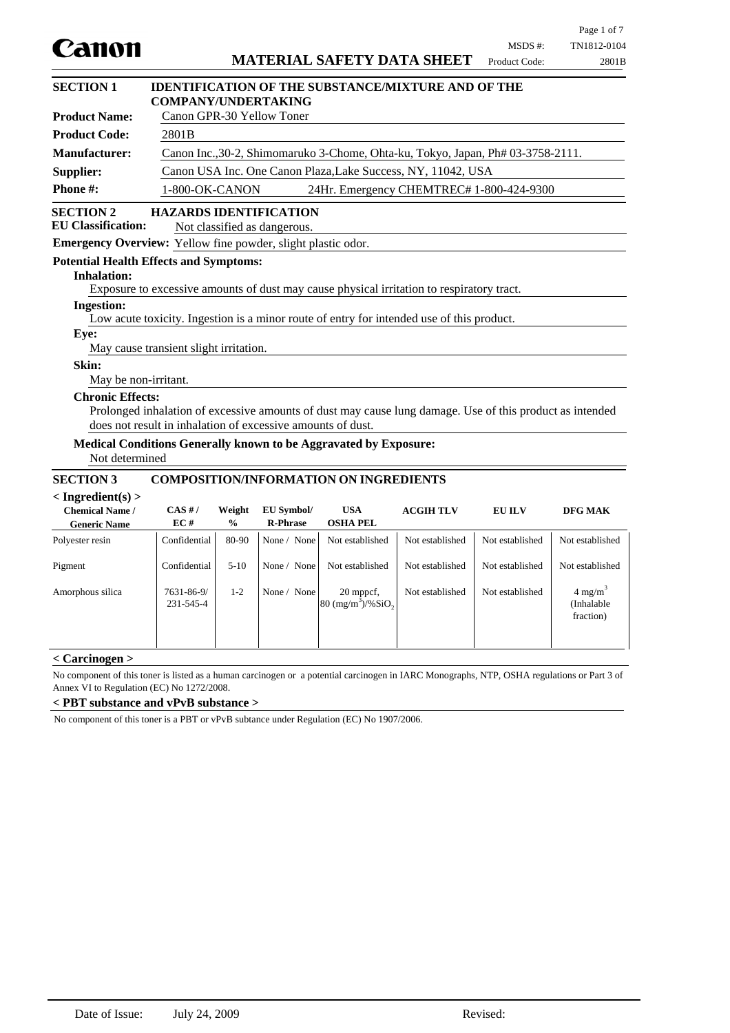|                                                                                        |                                                                                 |                         |                                                               |                                                                                                          |                  |                          | Page 1 of 7                                   |
|----------------------------------------------------------------------------------------|---------------------------------------------------------------------------------|-------------------------|---------------------------------------------------------------|----------------------------------------------------------------------------------------------------------|------------------|--------------------------|-----------------------------------------------|
| Canon                                                                                  |                                                                                 |                         |                                                               | <b>MATERIAL SAFETY DATA SHEET</b>                                                                        |                  | MSDS #:<br>Product Code: | TN1812-0104<br>2801B                          |
| <b>SECTION 1</b>                                                                       | <b>COMPANY/UNDERTAKING</b>                                                      |                         |                                                               | <b>IDENTIFICATION OF THE SUBSTANCE/MIXTURE AND OF THE</b>                                                |                  |                          |                                               |
| <b>Product Name:</b>                                                                   | Canon GPR-30 Yellow Toner                                                       |                         |                                                               |                                                                                                          |                  |                          |                                               |
| <b>Product Code:</b>                                                                   | 2801B                                                                           |                         |                                                               |                                                                                                          |                  |                          |                                               |
| Manufacturer:                                                                          | Canon Inc., 30-2, Shimomaruko 3-Chome, Ohta-ku, Tokyo, Japan, Ph# 03-3758-2111. |                         |                                                               |                                                                                                          |                  |                          |                                               |
| Supplier:                                                                              | Canon USA Inc. One Canon Plaza, Lake Success, NY, 11042, USA                    |                         |                                                               |                                                                                                          |                  |                          |                                               |
| Phone#:                                                                                | 1-800-OK-CANON<br>24Hr. Emergency CHEMTREC# 1-800-424-9300                      |                         |                                                               |                                                                                                          |                  |                          |                                               |
| <b>SECTION 2</b><br><b>EU Classification:</b>                                          |                                                                                 |                         | <b>HAZARDS IDENTIFICATION</b><br>Not classified as dangerous. |                                                                                                          |                  |                          |                                               |
| <b>Emergency Overview:</b> Yellow fine powder, slight plastic odor.                    |                                                                                 |                         |                                                               |                                                                                                          |                  |                          |                                               |
| <b>Potential Health Effects and Symptoms:</b>                                          |                                                                                 |                         |                                                               |                                                                                                          |                  |                          |                                               |
| <b>Inhalation:</b>                                                                     |                                                                                 |                         |                                                               |                                                                                                          |                  |                          |                                               |
|                                                                                        |                                                                                 |                         |                                                               | Exposure to excessive amounts of dust may cause physical irritation to respiratory tract.                |                  |                          |                                               |
| <b>Ingestion:</b>                                                                      |                                                                                 |                         |                                                               |                                                                                                          |                  |                          |                                               |
| Eye:                                                                                   |                                                                                 |                         |                                                               | Low acute toxicity. Ingestion is a minor route of entry for intended use of this product.                |                  |                          |                                               |
| May cause transient slight irritation.                                                 |                                                                                 |                         |                                                               |                                                                                                          |                  |                          |                                               |
| Skin:                                                                                  |                                                                                 |                         |                                                               |                                                                                                          |                  |                          |                                               |
| May be non-irritant.                                                                   |                                                                                 |                         |                                                               |                                                                                                          |                  |                          |                                               |
| <b>Chronic Effects:</b><br>does not result in inhalation of excessive amounts of dust. |                                                                                 |                         |                                                               | Prolonged inhalation of excessive amounts of dust may cause lung damage. Use of this product as intended |                  |                          |                                               |
|                                                                                        |                                                                                 |                         |                                                               |                                                                                                          |                  |                          |                                               |
| Medical Conditions Generally known to be Aggravated by Exposure:<br>Not determined     |                                                                                 |                         |                                                               |                                                                                                          |                  |                          |                                               |
| <b>SECTION 3</b>                                                                       |                                                                                 |                         |                                                               | <b>COMPOSITION/INFORMATION ON INGREDIENTS</b>                                                            |                  |                          |                                               |
| $<$ Ingredient(s) $>$<br><b>Chemical Name /</b><br><b>Generic Name</b>                 | $CAS$ #/<br>EC#                                                                 | Weight<br>$\frac{0}{0}$ | EU Symbol/<br><b>R-Phrase</b>                                 | <b>USA</b><br><b>OSHA PEL</b>                                                                            | <b>ACGIH TLV</b> | <b>EU ILV</b>            | DFG MAK                                       |
| Polyester resin                                                                        | Confidential                                                                    | 80-90                   | None / None                                                   | Not established                                                                                          | Not established  | Not established          | Not established                               |
| Pigment                                                                                | Confidential                                                                    | $5-10$                  | None / None                                                   | Not established                                                                                          | Not established  | Not established          | Not established                               |
| Amorphous silica                                                                       | 7631-86-9/<br>231-545-4                                                         | $1 - 2$                 | None / None                                                   | 20 mppcf,<br>$80 \frac{(mg/m^3)}{96}$ SiO <sub>2</sub>                                                   | Not established  | Not established          | $4 \text{ mg/m}^3$<br>(Inhalable<br>fraction) |

## **< Carcinogen >**

No component of this toner is listed as a human carcinogen or a potential carcinogen in IARC Monographs, NTP, OSHA regulations or Part 3 of Annex VI to Regulation (EC) No 1272/2008.

**< PBT substance and vPvB substance >**

No component of this toner is a PBT or vPvB subtance under Regulation (EC) No 1907/2006.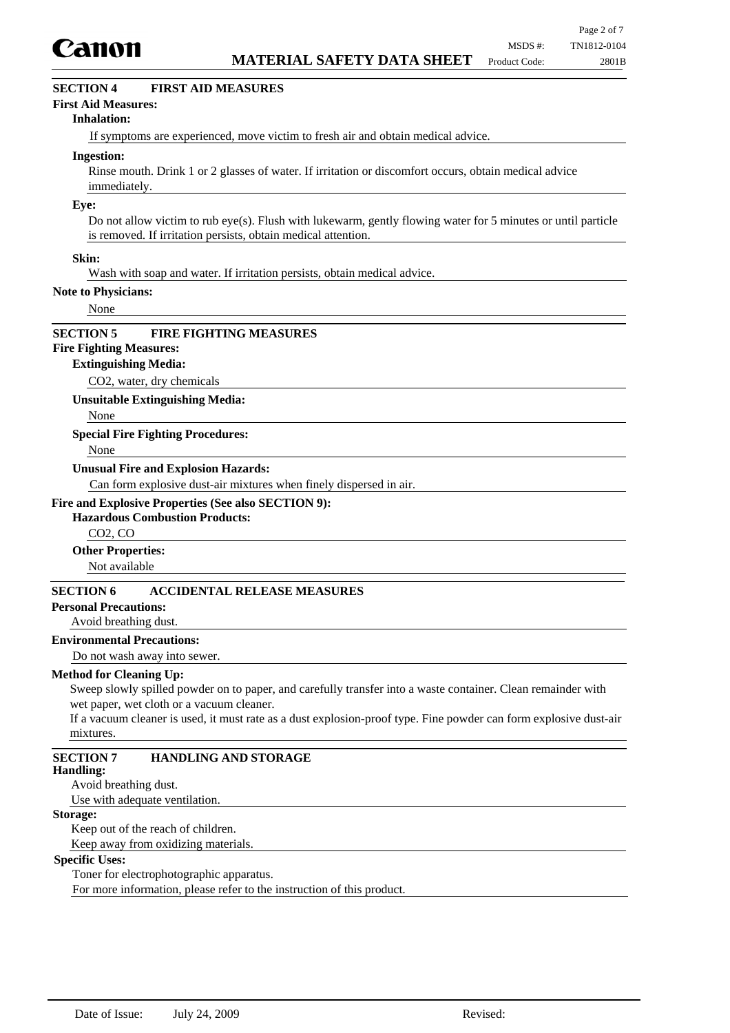

# **SECTION 4 FIRST AID MEASURES**

### **First Aid Measures:**

### **Inhalation:**

If symptoms are experienced, move victim to fresh air and obtain medical advice.

#### **Ingestion:**

Rinse mouth. Drink 1 or 2 glasses of water. If irritation or discomfort occurs, obtain medical advice immediately.

#### **Eye:**

Do not allow victim to rub eye(s). Flush with lukewarm, gently flowing water for 5 minutes or until particle is removed. If irritation persists, obtain medical attention.

### **Skin:**

Wash with soap and water. If irritation persists, obtain medical advice.

#### **Note to Physicians:**

None

### **SECTION 5 FIRE FIGHTING MEASURES**

# **Fire Fighting Measures:**

### **Extinguishing Media:**

CO2, water, dry chemicals

**Unsuitable Extinguishing Media:**

None

#### **Special Fire Fighting Procedures:**

None

### **Unusual Fire and Explosion Hazards:**

Can form explosive dust-air mixtures when finely dispersed in air.

### **Fire and Explosive Properties (See also SECTION 9):**

## **Hazardous Combustion Products:**

CO2, CO

#### **Other Properties:**

Not available

## **SECTION 6 ACCIDENTAL RELEASE MEASURES**

### **Personal Precautions:**

Avoid breathing dust.

### **Environmental Precautions:**

Do not wash away into sewer.

### **Method for Cleaning Up:**

Sweep slowly spilled powder on to paper, and carefully transfer into a waste container. Clean remainder with wet paper, wet cloth or a vacuum cleaner.

If a vacuum cleaner is used, it must rate as a dust explosion-proof type. Fine powder can form explosive dust-air mixtures.

# **SECTION 7 HANDLING AND STORAGE**

**Handling:**

Avoid breathing dust.

Use with adequate ventilation.

## **Storage:**

Keep out of the reach of children. Keep away from oxidizing materials.

### **Specific Uses:**

Toner for electrophotographic apparatus.

For more information, please refer to the instruction of this product.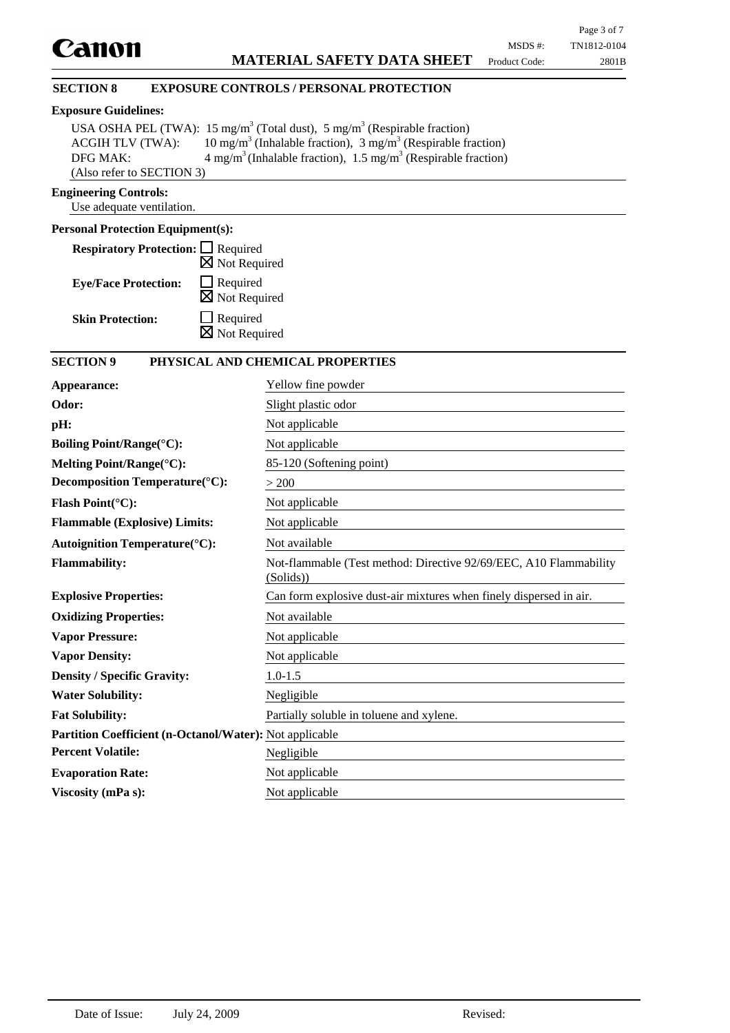# **Exposure Guidelines:**

|                           | USA OSHA PEL (TWA): 15 mg/m <sup>3</sup> (Total dust), 5 mg/m <sup>3</sup> (Respirable fraction) |
|---------------------------|--------------------------------------------------------------------------------------------------|
| <b>ACGIH TLV (TWA):</b>   | 10 mg/m <sup>3</sup> (Inhalable fraction), 3 mg/m <sup>3</sup> (Respirable fraction)             |
| DFG MAK:                  | $4 \text{ mg/m}^3$ (Inhalable fraction), 1.5 mg/m <sup>3</sup> (Respirable fraction)             |
| (Also refer to SECTION 3) |                                                                                                  |

## **Engineering Controls:**

Use adequate ventilation.

# **Personal Protection Equipment(s):**

| <b>Respiratory Protection:</b> □ Required |                          |
|-------------------------------------------|--------------------------|
|                                           | $\boxtimes$ Not Required |
| <b>Eye/Face Protection:</b>               | $\Box$ Required          |
|                                           | $\boxtimes$ Not Required |
| <b>Skin Protection:</b>                   | $\Box$ Required          |
|                                           | $\boxtimes$ Not Required |

# **SECTION 9 PHYSICAL AND CHEMICAL PROPERTIES**

| Yellow fine powder                                                             |  |  |  |
|--------------------------------------------------------------------------------|--|--|--|
| Slight plastic odor                                                            |  |  |  |
| Not applicable                                                                 |  |  |  |
| Not applicable                                                                 |  |  |  |
| 85-120 (Softening point)                                                       |  |  |  |
| > 200                                                                          |  |  |  |
| Not applicable                                                                 |  |  |  |
| Not applicable                                                                 |  |  |  |
| Not available                                                                  |  |  |  |
| Not-flammable (Test method: Directive 92/69/EEC, A10 Flammability<br>(Solids)) |  |  |  |
| Can form explosive dust-air mixtures when finely dispersed in air.             |  |  |  |
| Not available                                                                  |  |  |  |
| Not applicable                                                                 |  |  |  |
| Not applicable                                                                 |  |  |  |
| $1.0 - 1.5$                                                                    |  |  |  |
| Negligible                                                                     |  |  |  |
| Partially soluble in toluene and xylene.                                       |  |  |  |
| <b>Partition Coefficient (n-Octanol/Water):</b> Not applicable                 |  |  |  |
| Negligible                                                                     |  |  |  |
| Not applicable                                                                 |  |  |  |
| Not applicable                                                                 |  |  |  |
|                                                                                |  |  |  |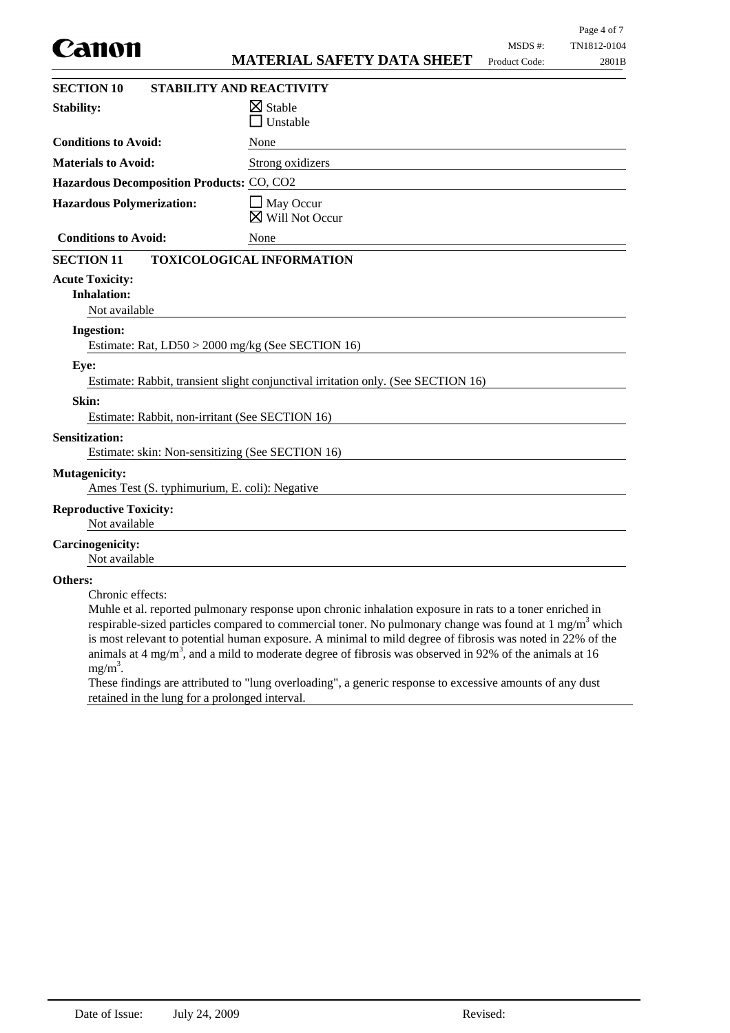| Canon                                                                     | <b>MATERIAL SAFETY DATA SHEET</b>                                                                                                                                                                                                                                                                                                                                                                                                                                  | Page 4 of 7<br>MSDS #:<br>TN1812-0104<br>Product Code:<br>2801B |
|---------------------------------------------------------------------------|--------------------------------------------------------------------------------------------------------------------------------------------------------------------------------------------------------------------------------------------------------------------------------------------------------------------------------------------------------------------------------------------------------------------------------------------------------------------|-----------------------------------------------------------------|
| <b>SECTION 10</b>                                                         | STABILITY AND REACTIVITY                                                                                                                                                                                                                                                                                                                                                                                                                                           |                                                                 |
| <b>Stability:</b>                                                         | $\boxtimes$ Stable<br>Unstable                                                                                                                                                                                                                                                                                                                                                                                                                                     |                                                                 |
| <b>Conditions to Avoid:</b>                                               | None                                                                                                                                                                                                                                                                                                                                                                                                                                                               |                                                                 |
| <b>Materials to Avoid:</b>                                                | Strong oxidizers                                                                                                                                                                                                                                                                                                                                                                                                                                                   |                                                                 |
| Hazardous Decomposition Products: CO, CO2                                 |                                                                                                                                                                                                                                                                                                                                                                                                                                                                    |                                                                 |
| <b>Hazardous Polymerization:</b>                                          | $\Box$ May Occur<br>$\boxtimes$ Will Not Occur                                                                                                                                                                                                                                                                                                                                                                                                                     |                                                                 |
| <b>Conditions to Avoid:</b>                                               | None                                                                                                                                                                                                                                                                                                                                                                                                                                                               |                                                                 |
| <b>SECTION 11</b>                                                         | <b>TOXICOLOGICAL INFORMATION</b>                                                                                                                                                                                                                                                                                                                                                                                                                                   |                                                                 |
| <b>Acute Toxicity:</b><br><b>Inhalation:</b><br>Not available             |                                                                                                                                                                                                                                                                                                                                                                                                                                                                    |                                                                 |
| <b>Ingestion:</b>                                                         | Estimate: Rat, LD50 > 2000 mg/kg (See SECTION 16)                                                                                                                                                                                                                                                                                                                                                                                                                  |                                                                 |
| Eye:                                                                      | Estimate: Rabbit, transient slight conjunctival irritation only. (See SECTION 16)                                                                                                                                                                                                                                                                                                                                                                                  |                                                                 |
| Skin:<br>Estimate: Rabbit, non-irritant (See SECTION 16)                  |                                                                                                                                                                                                                                                                                                                                                                                                                                                                    |                                                                 |
| <b>Sensitization:</b><br>Estimate: skin: Non-sensitizing (See SECTION 16) |                                                                                                                                                                                                                                                                                                                                                                                                                                                                    |                                                                 |
| <b>Mutagenicity:</b><br>Ames Test (S. typhimurium, E. coli): Negative     |                                                                                                                                                                                                                                                                                                                                                                                                                                                                    |                                                                 |
| <b>Reproductive Toxicity:</b><br>Not available                            |                                                                                                                                                                                                                                                                                                                                                                                                                                                                    |                                                                 |
| <b>Carcinogenicity:</b><br>Not available                                  |                                                                                                                                                                                                                                                                                                                                                                                                                                                                    |                                                                 |
| Others:<br>Chronic effects:<br>$mg/m^3$ .                                 | Muhle et al. reported pulmonary response upon chronic inhalation exposure in rats to a toner enriched in<br>respirable-sized particles compared to commercial toner. No pulmonary change was found at $1 \text{ mg/m}^3$ which<br>is most relevant to potential human exposure. A minimal to mild degree of fibrosis was noted in 22% of the<br>animals at $4 \text{ mg/m}^3$ , and a mild to moderate degree of fibrosis was observed in 92% of the animals at 16 |                                                                 |

These findings are attributed to "lung overloading", a generic response to excessive amounts of any dust retained in the lung for a prolonged interval.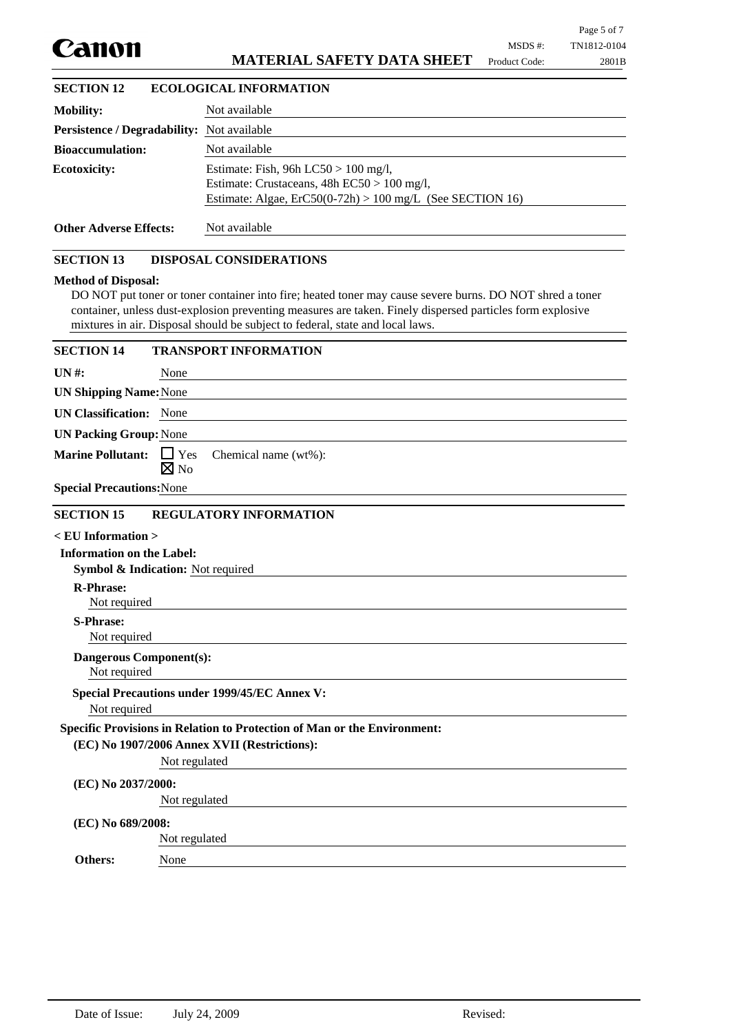|                                                                                  |                                                                                                                                                                                                                                                                                                        | MSDS #:       | Page 5 of 7<br>TN1812-0104 |
|----------------------------------------------------------------------------------|--------------------------------------------------------------------------------------------------------------------------------------------------------------------------------------------------------------------------------------------------------------------------------------------------------|---------------|----------------------------|
| Canon                                                                            | <b>MATERIAL SAFETY DATA SHEET</b>                                                                                                                                                                                                                                                                      | Product Code: | 2801B                      |
| <b>SECTION 12</b>                                                                | <b>ECOLOGICAL INFORMATION</b>                                                                                                                                                                                                                                                                          |               |                            |
| <b>Mobility:</b>                                                                 | Not available                                                                                                                                                                                                                                                                                          |               |                            |
| Persistence / Degradability: Not available                                       |                                                                                                                                                                                                                                                                                                        |               |                            |
| <b>Bioaccumulation:</b>                                                          | Not available                                                                                                                                                                                                                                                                                          |               |                            |
| <b>Ecotoxicity:</b>                                                              | Estimate: Fish, 96h LC50 > 100 mg/l,<br>Estimate: Crustaceans, 48h EC50 > 100 mg/l,<br>Estimate: Algae, $ErC50(0-72h) > 100$ mg/L (See SECTION 16)                                                                                                                                                     |               |                            |
| <b>Other Adverse Effects:</b>                                                    | Not available                                                                                                                                                                                                                                                                                          |               |                            |
| <b>SECTION 13</b>                                                                | <b>DISPOSAL CONSIDERATIONS</b>                                                                                                                                                                                                                                                                         |               |                            |
| <b>Method of Disposal:</b>                                                       | DO NOT put toner or toner container into fire; heated toner may cause severe burns. DO NOT shred a toner<br>container, unless dust-explosion preventing measures are taken. Finely dispersed particles form explosive<br>mixtures in air. Disposal should be subject to federal, state and local laws. |               |                            |
| <b>SECTION 14</b>                                                                | <b>TRANSPORT INFORMATION</b>                                                                                                                                                                                                                                                                           |               |                            |
| $UN#$ :<br>None                                                                  |                                                                                                                                                                                                                                                                                                        |               |                            |
| <b>UN Shipping Name: None</b>                                                    |                                                                                                                                                                                                                                                                                                        |               |                            |
| <b>UN Classification:</b> None                                                   |                                                                                                                                                                                                                                                                                                        |               |                            |
| <b>UN Packing Group: None</b>                                                    |                                                                                                                                                                                                                                                                                                        |               |                            |
| <b>Marine Pollutant:</b><br>$\Box$ Yes<br>$\boxtimes$ No                         | Chemical name (wt%):                                                                                                                                                                                                                                                                                   |               |                            |
| <b>Special Precautions: None</b><br><b>SECTION 15</b>                            | <b>REGULATORY INFORMATION</b>                                                                                                                                                                                                                                                                          |               |                            |
| $<$ EU Information $>$                                                           |                                                                                                                                                                                                                                                                                                        |               |                            |
| <b>Information on the Label:</b><br><b>Symbol &amp; Indication:</b> Not required |                                                                                                                                                                                                                                                                                                        |               |                            |
| <b>R-Phrase:</b>                                                                 |                                                                                                                                                                                                                                                                                                        |               |                            |
| Not required                                                                     |                                                                                                                                                                                                                                                                                                        |               |                            |
| <b>S-Phrase:</b><br>Not required                                                 |                                                                                                                                                                                                                                                                                                        |               |                            |
| <b>Dangerous Component(s):</b><br>Not required                                   |                                                                                                                                                                                                                                                                                                        |               |                            |
| <b>Special Precautions under 1999/45/EC Annex V:</b><br>Not required             |                                                                                                                                                                                                                                                                                                        |               |                            |
|                                                                                  | Specific Provisions in Relation to Protection of Man or the Environment:                                                                                                                                                                                                                               |               |                            |
| (EC) No 1907/2006 Annex XVII (Restrictions):                                     |                                                                                                                                                                                                                                                                                                        |               |                            |
| Not regulated                                                                    |                                                                                                                                                                                                                                                                                                        |               |                            |
| (EC) No 2037/2000:<br>Not regulated                                              |                                                                                                                                                                                                                                                                                                        |               |                            |
|                                                                                  |                                                                                                                                                                                                                                                                                                        |               |                            |
| (EC) No 689/2008:<br>Not regulated                                               |                                                                                                                                                                                                                                                                                                        |               |                            |
| <b>Others:</b><br>None                                                           |                                                                                                                                                                                                                                                                                                        |               |                            |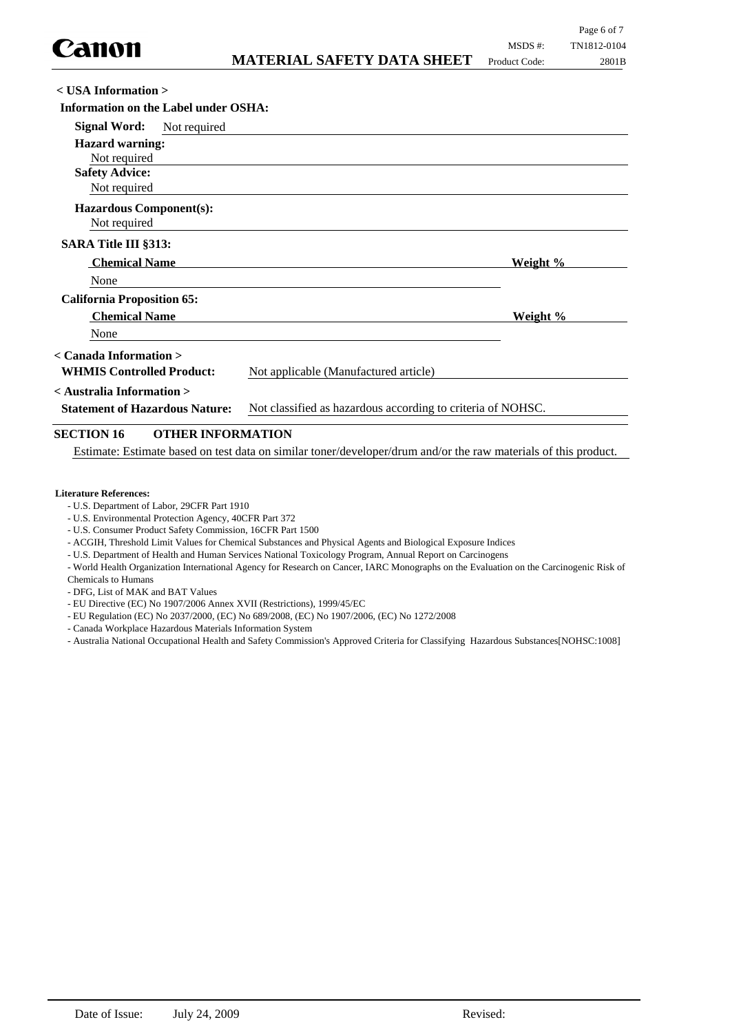| <b>MATERIAL SAFETY DATA SHEET</b> Product Code: | 2801B |
|-------------------------------------------------|-------|
|                                                 |       |
| er OSHA:                                        |       |
| .d                                              |       |
|                                                 |       |
|                                                 |       |
|                                                 |       |
|                                                 |       |
|                                                 |       |

Not required

Not required

**Hazardous Component(s):**

**SARA Title III §313:**

None **Chemical Name Weight %** 

**California Proposition 65: Chemical Name Weight %** 

None

**< Canada Information >**

**WHMIS Controlled Product:** Not applicable (Manufactured article)

**< Australia Information >**

**Statement of Hazardous Nature:** Not classified as hazardous according to criteria of NOHSC.

# **SECTION 16 OTHER INFORMATION**

Estimate: Estimate based on test data on similar toner/developer/drum and/or the raw materials of this product.

### **Literature References:**

- U.S. Department of Labor, 29CFR Part 1910
- U.S. Environmental Protection Agency, 40CFR Part 372
- U.S. Consumer Product Safety Commission, 16CFR Part 1500
- ACGIH, Threshold Limit Values for Chemical Substances and Physical Agents and Biological Exposure Indices
- U.S. Department of Health and Human Services National Toxicology Program, Annual Report on Carcinogens

- World Health Organization International Agency for Research on Cancer, IARC Monographs on the Evaluation on the Carcinogenic Risk of Chemicals to Humans

- DFG, List of MAK and BAT Values

- EU Directive (EC) No 1907/2006 Annex XVII (Restrictions), 1999/45/EC
- EU Regulation (EC) No 2037/2000, (EC) No 689/2008, (EC) No 1907/2006, (EC) No 1272/2008
- Canada Workplace Hazardous Materials Information System
- Australia National Occupational Health and Safety Commission's Approved Criteria for Classifying Hazardous Substances[NOHSC:1008]